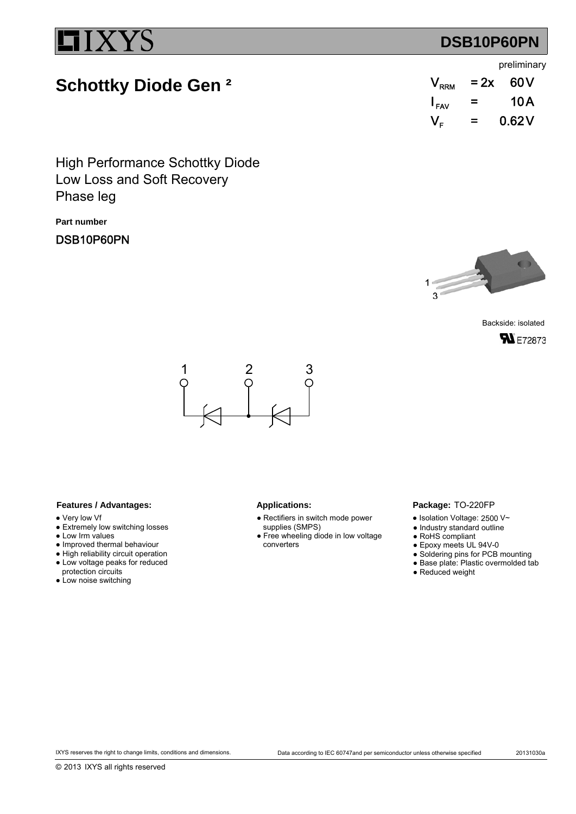## **DSB10P60PN**

### preliminary

# **Schottky Diode Gen ²**

| $V_{\rm RRM}$                                  | $= 2x$ | 60V   |
|------------------------------------------------|--------|-------|
| $I_{\mathsf{FAV}}$                             | =      | 10 A  |
| $\mathsf{V}_{\scriptscriptstyle \mathsf{F}}$ . | =      | 0.62V |

Low Loss and Soft Recovery High Performance Schottky Diode Phase leg

**Part number**

DSB10P60PN



Backside: isolated **SN** E72873



### Features / Advantages: Applications:

- Very low Vf
- Extremely low switching losses
- Low Irm values
- Improved thermal behaviour
- High reliability circuit operation ● Low voltage peaks for reduced
- protection circuits
- Low noise switching

- Rectifiers in switch mode power supplies (SMPS)
- Free wheeling diode in low voltage converters

### Package: TO-220FP

- $\bullet$  Isolation Voltage: 2500 V~
- Industry standard outline
- RoHS compliant
- Epoxy meets UL 94V-0
- Soldering pins for PCB mounting
- Base plate: Plastic overmolded tab
- Reduced weight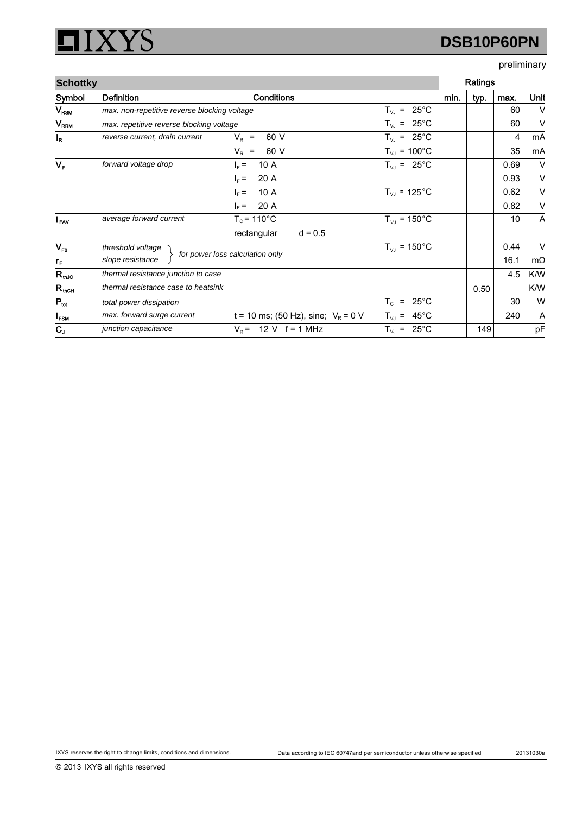#### XYS I  $\Box$

# **DSB10P60PN**

## preliminary

| <b>Schottky</b>        |                                                     |                                       |                                                                  |      | Ratings |      |           |
|------------------------|-----------------------------------------------------|---------------------------------------|------------------------------------------------------------------|------|---------|------|-----------|
| Symbol                 | <b>Definition</b>                                   | <b>Conditions</b>                     |                                                                  | min. | typ.    | max. | Unit      |
| $V_{\mathsf{RSM}}$     | max. non-repetitive reverse blocking voltage        |                                       | $T_{VJ}$ = 25°C                                                  |      |         | 60   | V         |
| <b>V<sub>RRM</sub></b> | max. repetitive reverse blocking voltage            |                                       | $T_{VJ}$ = 25°C                                                  |      |         | 60   | $\vee$    |
| $I_R$                  | reverse current, drain current                      | 60 V<br>$V_{\rm R}$ =                 | $T_{VJ}$ = 25°C                                                  |      |         | 4    | mA        |
|                        |                                                     | $V_R$ =<br>60 V                       | $T_{VJ} = 100^{\circ}C$                                          |      |         | 35   | mA        |
| $V_F$                  | forward voltage drop                                | 10 A<br>$I_F =$                       | $T_{VJ} = 25^{\circ}C$                                           |      |         | 0.69 | $\vee$    |
|                        |                                                     | 20 A<br>$I_F =$                       |                                                                  |      |         | 0.93 | V         |
|                        |                                                     | 10A<br>$I_F =$                        | $T_{VJ}$ = 125°C                                                 |      |         | 0.62 | V         |
|                        |                                                     | 20 A<br>$\vert_{E}$ =                 |                                                                  |      |         | 0.82 | V         |
| $I_{\text{FAV}}$       | average forward current                             | $T_c$ = 110 $^{\circ}$ C              | $T_{VJ}$ = 150 °C                                                |      |         | 10   | A         |
|                        |                                                     | rectangular<br>$d = 0.5$              |                                                                  |      |         |      |           |
| $V_{F0}$               | threshold voltage                                   |                                       | $T_{VJ}$ = 150 °C                                                |      |         | 0.44 | $\vee$    |
| $r_{\rm F}$            | for power loss calculation only<br>slope resistance |                                       |                                                                  |      |         | 16.1 | $m\Omega$ |
| $R_{thJC}$             | thermal resistance junction to case                 |                                       |                                                                  |      |         | 4.5  | K/W       |
| $R_{\text{thCH}}$      | thermal resistance case to heatsink                 |                                       |                                                                  |      | 0.50    |      | K/W       |
| $P_{\text{tot}}$       | total power dissipation                             |                                       | $\mathsf{T}_{\texttt{C}}$<br>$25^{\circ}$ C<br>$\qquad \qquad =$ |      |         | 30   | W         |
| $I_{FSM}$              | max. forward surge current                          | t = 10 ms; (50 Hz), sine; $V_R$ = 0 V | $T_{VJ}$ = 45°C                                                  |      |         | 240  | A         |
| $C_{J}$                | junction capacitance                                | 12 V $f = 1$ MHz<br>$V_{\rm R}$ =     | $25^{\circ}$ C<br>$T_{VJ}$ =                                     |      | 149     |      | pF        |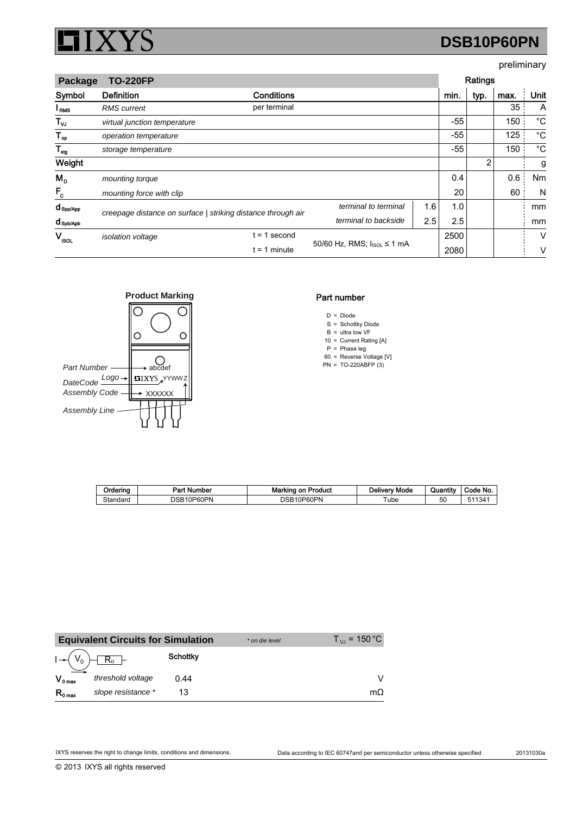

# **DSB10P60PN**

### preliminary

| <b>TO-220FP</b><br>Package |                                                              |                   |                      |      | Ratings |      |      |             |
|----------------------------|--------------------------------------------------------------|-------------------|----------------------|------|---------|------|------|-------------|
| Symbol                     | <b>Definition</b>                                            | <b>Conditions</b> |                      |      | min.    | typ. | max. | Unit        |
| I <sub>RMS</sub>           | <b>RMS</b> current                                           | per terminal      |                      |      |         |      | 35   | A           |
| $T_{\nu J}$                | virtual junction temperature                                 |                   |                      |      | -55     |      | 150  | °C          |
| $T_{op}$                   | operation temperature                                        |                   |                      |      | -55     |      | 125  | $^{\circ}C$ |
| $T_{\text{stg}}$           | storage temperature                                          |                   |                      |      | -55     |      | 150  | $^{\circ}C$ |
| Weight                     |                                                              |                   |                      |      |         | 2    |      | g           |
| $M_{\rm p}$                | mounting torque                                              |                   |                      |      | 0.4     |      | 0.6  | Nm          |
| $F_c$                      | mounting force with clip                                     |                   |                      |      | 20      |      | 60   | N           |
| $d_{\mathsf{Spp/App}}$     | creepage distance on surface   striking distance through air |                   | terminal to terminal | 1.6  | 1.0     |      |      | mm          |
| d spb/Apb                  |                                                              |                   | terminal to backside | 2.5  | 2.5     |      |      | mm          |
| $V_{\rm isol}$             | isolation voltage                                            | $t = 1$ second    |                      |      | 2500    |      |      | V           |
|                            | 50/60 Hz, RMS; I <sub>ISOL</sub> ≤ 1 mA<br>$t = 1$ minute    |                   |                      | 2080 |         |      | ٧    |             |



### Part number

- $D = Diode$
- S = Schottky Diode
- $B =$  ultra low VF
- 10 Current Rating [A] =
- P 60 Phase leg Reverse Voltage [V] = =
- PN TO-220ABFP (3) =

| Orderina | Part Number     | Marking on Product | <b>Delivery Mode</b> | Quantity | Code No. |
|----------|-----------------|--------------------|----------------------|----------|----------|
| Standard | 10P60PN<br>DSB1 | 10P60PN<br>DSB     | ube                  | 50       | 511341   |

|              | <b>Equivalent Circuits for Simulation</b> |                 | * on die level | $T_{\text{VI}}$ = 150 °C |
|--------------|-------------------------------------------|-----------------|----------------|--------------------------|
|              |                                           | <b>Schottky</b> |                |                          |
| $V_{0 \max}$ | threshold voltage                         | 0.44            |                |                          |
| $R_{0 \max}$ | slope resistance *                        |                 |                | mΩ                       |